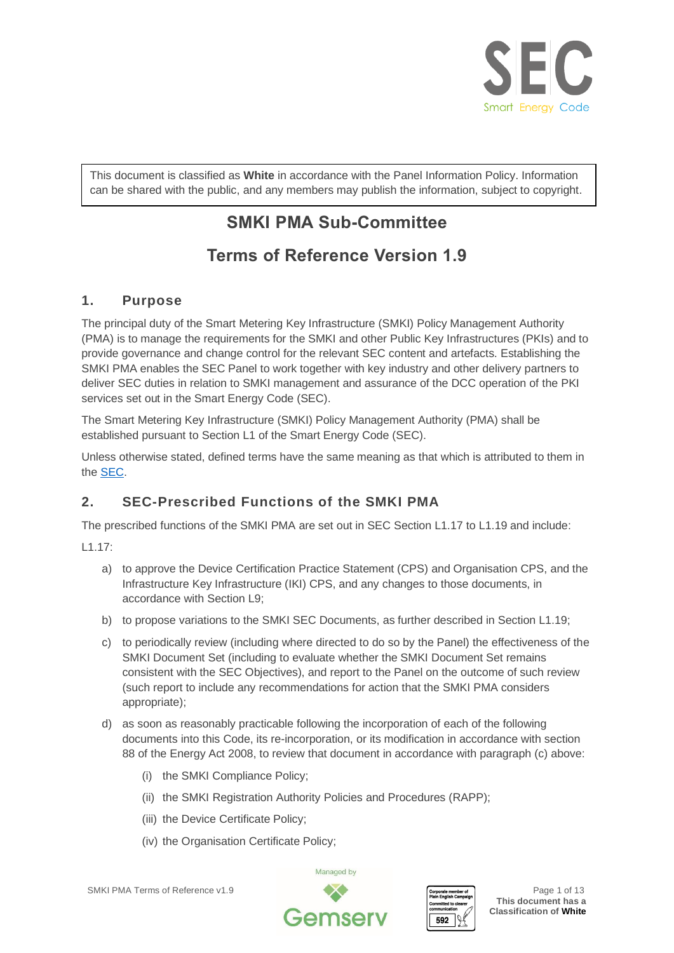

This document is classified as **White** in accordance with the Panel Information Policy. Information can be shared with the public, and any members may publish the information, subject to copyright.

# **SMKI PMA Sub-Committee**

# **Terms of Reference Version 1.9**

# **1. Purpose**

The principal duty of the Smart Metering Key Infrastructure (SMKI) Policy Management Authority (PMA) is to manage the requirements for the SMKI and other Public Key Infrastructures (PKIs) and to provide governance and change control for the relevant SEC content and artefacts. Establishing the SMKI PMA enables the SEC Panel to work together with key industry and other delivery partners to deliver SEC duties in relation to SMKI management and assurance of the DCC operation of the PKI services set out in the Smart Energy Code (SEC).

The Smart Metering Key Infrastructure (SMKI) Policy Management Authority (PMA) shall be established pursuant to Section L1 of the Smart Energy Code (SEC).

Unless otherwise stated, defined terms have the same meaning as that which is attributed to them in th[e SEC.](https://smartenergycodecompany.co.uk/Glossary/)

# **2. SEC-Prescribed Functions of the SMKI PMA**

The prescribed functions of the SMKI PMA are set out in SEC Section L1.17 to L1.19 and include:

L1.17:

- a) to approve the Device Certification Practice Statement (CPS) and Organisation CPS, and the Infrastructure Key Infrastructure (IKI) CPS, and any changes to those documents, in accordance with Section L9;
- b) to propose variations to the SMKI SEC Documents, as further described in Section L1.19;
- c) to periodically review (including where directed to do so by the Panel) the effectiveness of the SMKI Document Set (including to evaluate whether the SMKI Document Set remains consistent with the SEC Objectives), and report to the Panel on the outcome of such review (such report to include any recommendations for action that the SMKI PMA considers appropriate);
- d) as soon as reasonably practicable following the incorporation of each of the following documents into this Code, its re-incorporation, or its modification in accordance with section 88 of the Energy Act 2008, to review that document in accordance with paragraph (c) above:
	- (i) the SMKI Compliance Policy;
	- (ii) the SMKI Registration Authority Policies and Procedures (RAPP);
	- (iii) the Device Certificate Policy;
	- (iv) the Organisation Certificate Policy;





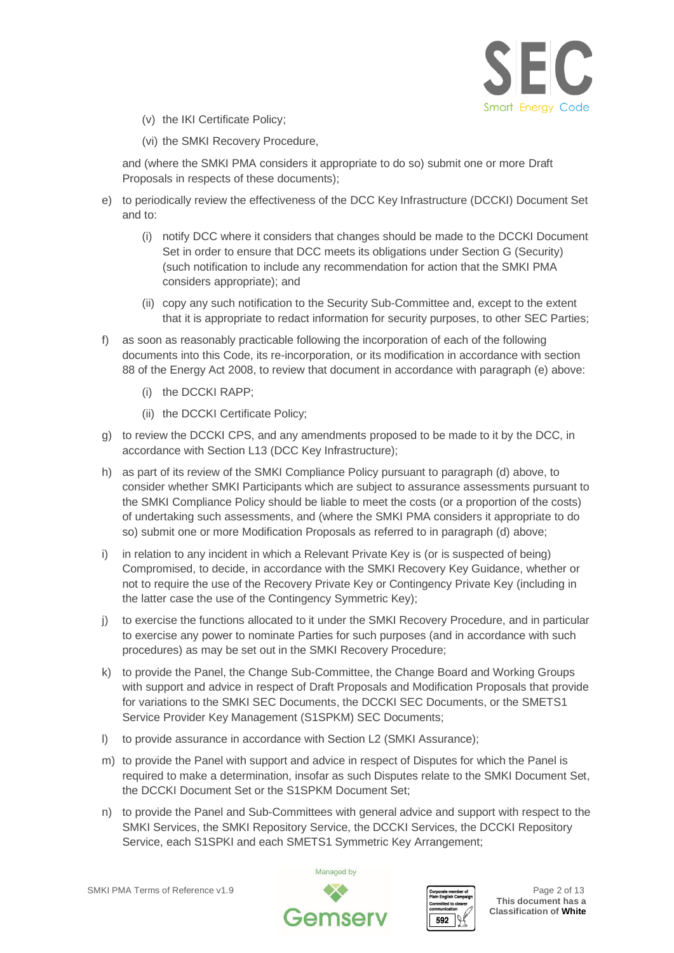

- (v) the IKI Certificate Policy;
- (vi) the SMKI Recovery Procedure,

and (where the SMKI PMA considers it appropriate to do so) submit one or more Draft Proposals in respects of these documents);

- e) to periodically review the effectiveness of the DCC Key Infrastructure (DCCKI) Document Set and to:
	- (i) notify DCC where it considers that changes should be made to the DCCKI Document Set in order to ensure that DCC meets its obligations under Section G (Security) (such notification to include any recommendation for action that the SMKI PMA considers appropriate); and
	- (ii) copy any such notification to the Security Sub-Committee and, except to the extent that it is appropriate to redact information for security purposes, to other SEC Parties;
- f) as soon as reasonably practicable following the incorporation of each of the following documents into this Code, its re-incorporation, or its modification in accordance with section 88 of the Energy Act 2008, to review that document in accordance with paragraph (e) above:
	- (i) the DCCKI RAPP;
	- (ii) the DCCKI Certificate Policy;
- g) to review the DCCKI CPS, and any amendments proposed to be made to it by the DCC, in accordance with Section L13 (DCC Key Infrastructure);
- h) as part of its review of the SMKI Compliance Policy pursuant to paragraph (d) above, to consider whether SMKI Participants which are subject to assurance assessments pursuant to the SMKI Compliance Policy should be liable to meet the costs (or a proportion of the costs) of undertaking such assessments, and (where the SMKI PMA considers it appropriate to do so) submit one or more Modification Proposals as referred to in paragraph (d) above;
- i) in relation to any incident in which a Relevant Private Key is (or is suspected of being) Compromised, to decide, in accordance with the SMKI Recovery Key Guidance, whether or not to require the use of the Recovery Private Key or Contingency Private Key (including in the latter case the use of the Contingency Symmetric Key);
- j) to exercise the functions allocated to it under the SMKI Recovery Procedure, and in particular to exercise any power to nominate Parties for such purposes (and in accordance with such procedures) as may be set out in the SMKI Recovery Procedure;
- k) to provide the Panel, the Change Sub-Committee, the Change Board and Working Groups with support and advice in respect of Draft Proposals and Modification Proposals that provide for variations to the SMKI SEC Documents, the DCCKI SEC Documents, or the SMETS1 Service Provider Key Management (S1SPKM) SEC Documents;
- l) to provide assurance in accordance with Section L2 (SMKI Assurance);
- m) to provide the Panel with support and advice in respect of Disputes for which the Panel is required to make a determination, insofar as such Disputes relate to the SMKI Document Set, the DCCKI Document Set or the S1SPKM Document Set;
- n) to provide the Panel and Sub-Committees with general advice and support with respect to the SMKI Services, the SMKI Repository Service, the DCCKI Services, the DCCKI Repository Service, each S1SPKI and each SMETS1 Symmetric Key Arrangement;

SMKI PMA Terms of Reference v1.9 **Page 2** of 13



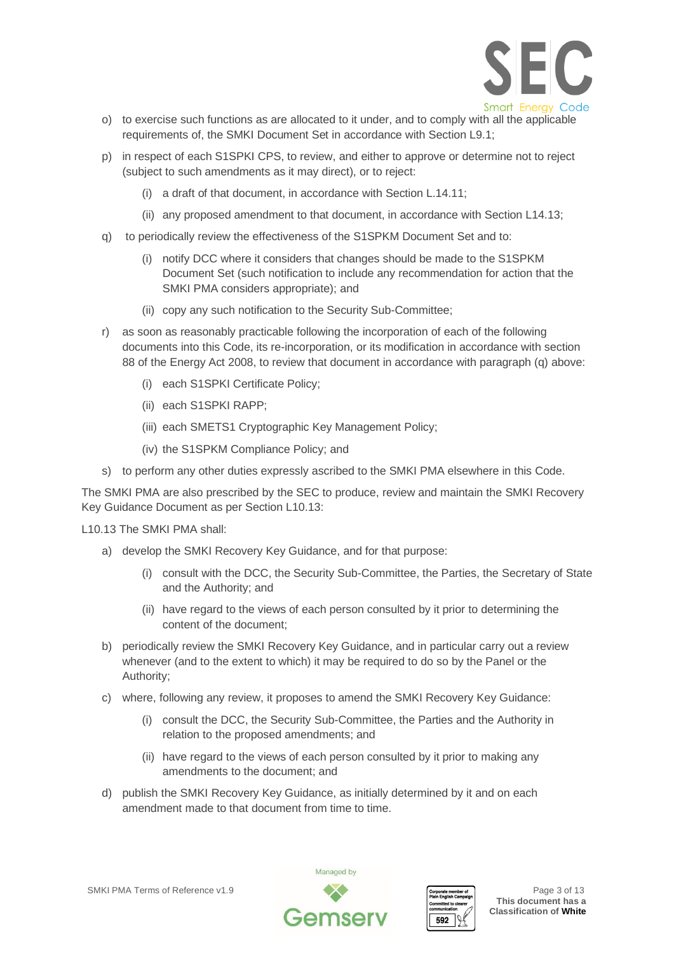

- o) to exercise such functions as are allocated to it under, and to comply with all the applicable requirements of, the SMKI Document Set in accordance with Section L9.1;
- p) in respect of each S1SPKI CPS, to review, and either to approve or determine not to reject (subject to such amendments as it may direct), or to reject:
	- (i) a draft of that document, in accordance with Section L.14.11;
	- (ii) any proposed amendment to that document, in accordance with Section L14.13;
- q) to periodically review the effectiveness of the S1SPKM Document Set and to:
	- (i) notify DCC where it considers that changes should be made to the S1SPKM Document Set (such notification to include any recommendation for action that the SMKI PMA considers appropriate); and
	- (ii) copy any such notification to the Security Sub-Committee;
- r) as soon as reasonably practicable following the incorporation of each of the following documents into this Code, its re-incorporation, or its modification in accordance with section 88 of the Energy Act 2008, to review that document in accordance with paragraph (q) above:
	- (i) each S1SPKI Certificate Policy;
	- (ii) each S1SPKI RAPP;
	- (iii) each SMETS1 Cryptographic Key Management Policy;
	- (iv) the S1SPKM Compliance Policy; and
- s) to perform any other duties expressly ascribed to the SMKI PMA elsewhere in this Code.

The SMKI PMA are also prescribed by the SEC to produce, review and maintain the SMKI Recovery Key Guidance Document as per Section L10.13:

L10.13 The SMKI PMA shall:

- a) develop the SMKI Recovery Key Guidance, and for that purpose:
	- (i) consult with the DCC, the Security Sub-Committee, the Parties, the Secretary of State and the Authority; and
	- (ii) have regard to the views of each person consulted by it prior to determining the content of the document;
- b) periodically review the SMKI Recovery Key Guidance, and in particular carry out a review whenever (and to the extent to which) it may be required to do so by the Panel or the Authority;
- c) where, following any review, it proposes to amend the SMKI Recovery Key Guidance:
	- (i) consult the DCC, the Security Sub-Committee, the Parties and the Authority in relation to the proposed amendments; and
	- (ii) have regard to the views of each person consulted by it prior to making any amendments to the document; and
- d) publish the SMKI Recovery Key Guidance, as initially determined by it and on each amendment made to that document from time to time.



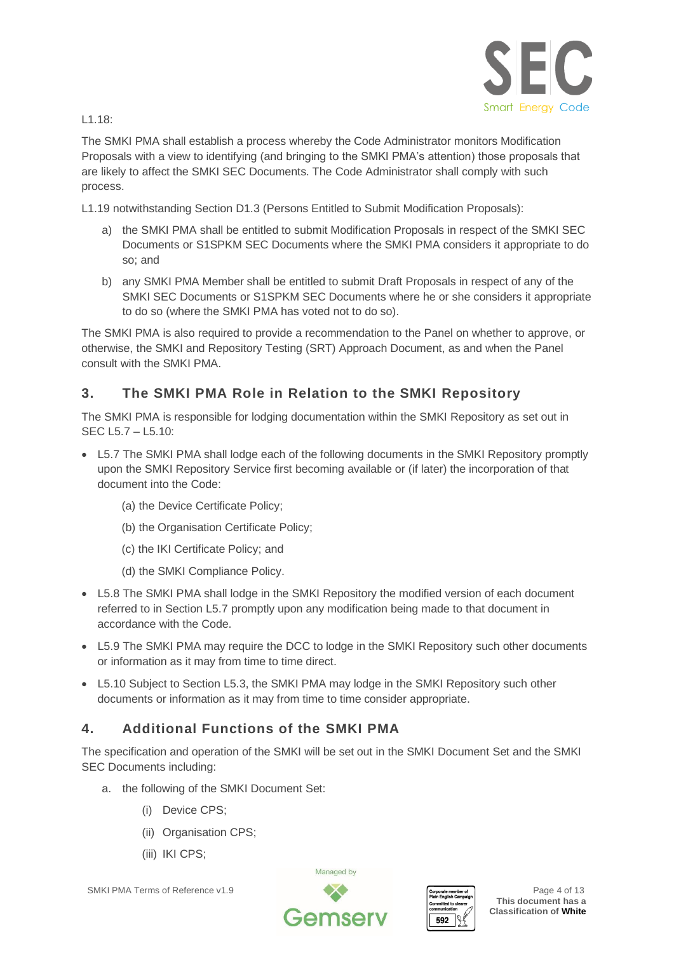

L1.18:

The SMKI PMA shall establish a process whereby the Code Administrator monitors Modification Proposals with a view to identifying (and bringing to the SMKI PMA's attention) those proposals that are likely to affect the SMKI SEC Documents. The Code Administrator shall comply with such process.

L1.19 notwithstanding Section D1.3 (Persons Entitled to Submit Modification Proposals):

- a) the SMKI PMA shall be entitled to submit Modification Proposals in respect of the SMKI SEC Documents or S1SPKM SEC Documents where the SMKI PMA considers it appropriate to do so; and
- b) any SMKI PMA Member shall be entitled to submit Draft Proposals in respect of any of the SMKI SEC Documents or S1SPKM SEC Documents where he or she considers it appropriate to do so (where the SMKI PMA has voted not to do so).

The SMKI PMA is also required to provide a recommendation to the Panel on whether to approve, or otherwise, the SMKI and Repository Testing (SRT) Approach Document, as and when the Panel consult with the SMKI PMA.

# **3. The SMKI PMA Role in Relation to the SMKI Repository**

The SMKI PMA is responsible for lodging documentation within the SMKI Repository as set out in SEC L5.7 – L5.10:

- L5.7 The SMKI PMA shall lodge each of the following documents in the SMKI Repository promptly upon the SMKI Repository Service first becoming available or (if later) the incorporation of that document into the Code:
	- (a) the Device Certificate Policy;
	- (b) the Organisation Certificate Policy;
	- (c) the IKI Certificate Policy; and
	- (d) the SMKI Compliance Policy.
- L5.8 The SMKI PMA shall lodge in the SMKI Repository the modified version of each document referred to in Section L5.7 promptly upon any modification being made to that document in accordance with the Code.
- L5.9 The SMKI PMA may require the DCC to lodge in the SMKI Repository such other documents or information as it may from time to time direct.
- L5.10 Subject to Section L5.3, the SMKI PMA may lodge in the SMKI Repository such other documents or information as it may from time to time consider appropriate.

# **4. Additional Functions of the SMKI PMA**

The specification and operation of the SMKI will be set out in the SMKI Document Set and the SMKI SEC Documents including:

- a. the following of the SMKI Document Set:
	- (i) Device CPS;
	- (ii) Organisation CPS;
	- (iii) IKI CPS;

SMKI PMA Terms of Reference v1.9 Page 4 of 13



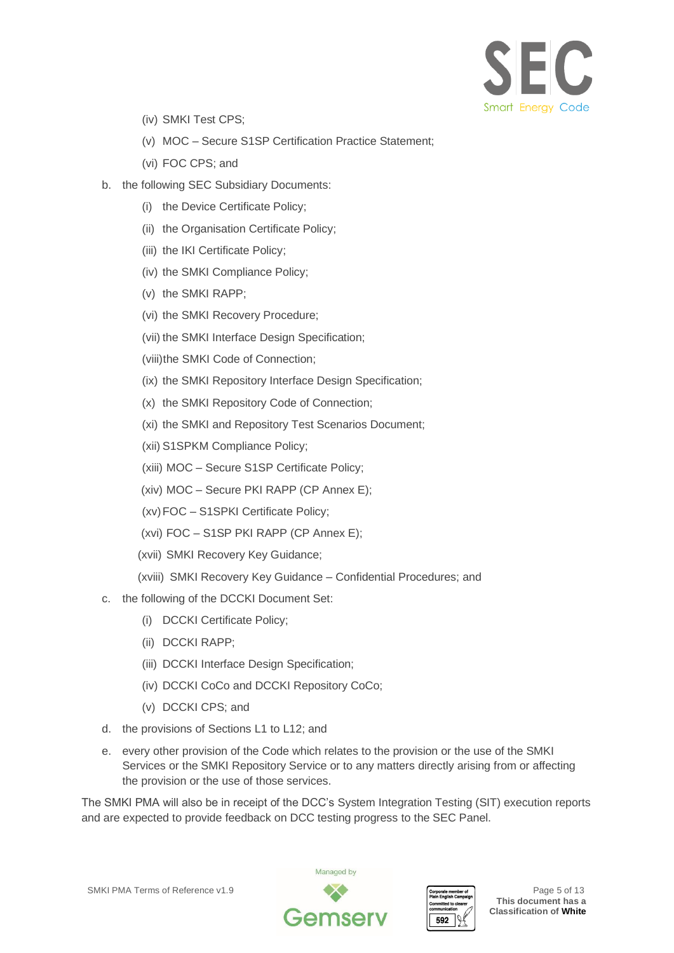

- (iv) SMKI Test CPS;
- (v) MOC Secure S1SP Certification Practice Statement;
- (vi) FOC CPS; and
- b. the following SEC Subsidiary Documents:
	- (i) the Device Certificate Policy;
	- (ii) the Organisation Certificate Policy;
	- (iii) the IKI Certificate Policy;
	- (iv) the SMKI Compliance Policy;
	- (v) the SMKI RAPP;
	- (vi) the SMKI Recovery Procedure;
	- (vii) the SMKI Interface Design Specification;
	- (viii)the SMKI Code of Connection;
	- (ix) the SMKI Repository Interface Design Specification;
	- (x) the SMKI Repository Code of Connection;
	- (xi) the SMKI and Repository Test Scenarios Document;
	- (xii) S1SPKM Compliance Policy;
	- (xiii) MOC Secure S1SP Certificate Policy;
	- (xiv) MOC Secure PKI RAPP (CP Annex E);
	- (xv)FOC S1SPKI Certificate Policy;
	- (xvi) FOC S1SP PKI RAPP (CP Annex E);
	- (xvii) SMKI Recovery Key Guidance;
	- (xviii) SMKI Recovery Key Guidance Confidential Procedures; and
- c. the following of the DCCKI Document Set:
	- (i) DCCKI Certificate Policy;
	- (ii) DCCKI RAPP;
	- (iii) DCCKI Interface Design Specification;
	- (iv) DCCKI CoCo and DCCKI Repository CoCo;
	- (v) DCCKI CPS; and
- d. the provisions of Sections L1 to L12; and
- e. every other provision of the Code which relates to the provision or the use of the SMKI Services or the SMKI Repository Service or to any matters directly arising from or affecting the provision or the use of those services.

The SMKI PMA will also be in receipt of the DCC's System Integration Testing (SIT) execution reports and are expected to provide feedback on DCC testing progress to the SEC Panel.



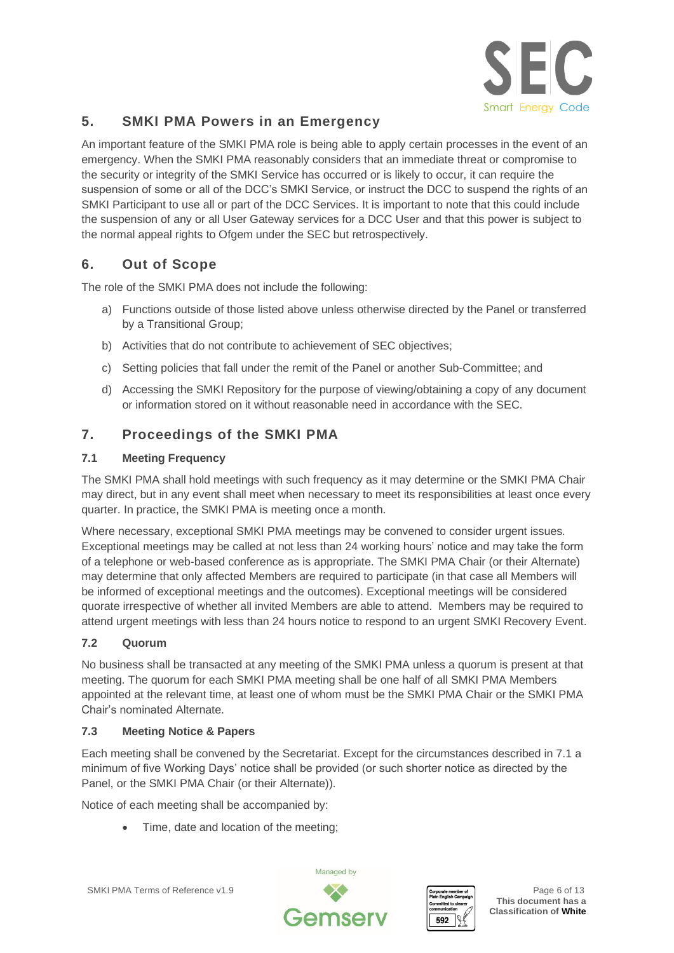

### **5. SMKI PMA Powers in an Emergency**

An important feature of the SMKI PMA role is being able to apply certain processes in the event of an emergency. When the SMKI PMA reasonably considers that an immediate threat or compromise to the security or integrity of the SMKI Service has occurred or is likely to occur, it can require the suspension of some or all of the DCC's SMKI Service, or instruct the DCC to suspend the rights of an SMKI Participant to use all or part of the DCC Services. It is important to note that this could include the suspension of any or all User Gateway services for a DCC User and that this power is subject to the normal appeal rights to Ofgem under the SEC but retrospectively.

# **6. Out of Scope**

The role of the SMKI PMA does not include the following:

- a) Functions outside of those listed above unless otherwise directed by the Panel or transferred by a Transitional Group;
- b) Activities that do not contribute to achievement of SEC objectives;
- c) Setting policies that fall under the remit of the Panel or another Sub-Committee; and
- d) Accessing the SMKI Repository for the purpose of viewing/obtaining a copy of any document or information stored on it without reasonable need in accordance with the SEC.

### **7. Proceedings of the SMKI PMA**

#### **7.1 Meeting Frequency**

The SMKI PMA shall hold meetings with such frequency as it may determine or the SMKI PMA Chair may direct, but in any event shall meet when necessary to meet its responsibilities at least once every quarter. In practice, the SMKI PMA is meeting once a month.

Where necessary, exceptional SMKI PMA meetings may be convened to consider urgent issues. Exceptional meetings may be called at not less than 24 working hours' notice and may take the form of a telephone or web-based conference as is appropriate. The SMKI PMA Chair (or their Alternate) may determine that only affected Members are required to participate (in that case all Members will be informed of exceptional meetings and the outcomes). Exceptional meetings will be considered quorate irrespective of whether all invited Members are able to attend. Members may be required to attend urgent meetings with less than 24 hours notice to respond to an urgent SMKI Recovery Event.

#### **7.2 Quorum**

No business shall be transacted at any meeting of the SMKI PMA unless a quorum is present at that meeting. The quorum for each SMKI PMA meeting shall be one half of all SMKI PMA Members appointed at the relevant time, at least one of whom must be the SMKI PMA Chair or the SMKI PMA Chair's nominated Alternate.

#### **7.3 Meeting Notice & Papers**

Each meeting shall be convened by the Secretariat. Except for the circumstances described in 7.1 a minimum of five Working Days' notice shall be provided (or such shorter notice as directed by the Panel, or the SMKI PMA Chair (or their Alternate)).

Notice of each meeting shall be accompanied by:

• Time, date and location of the meeting;



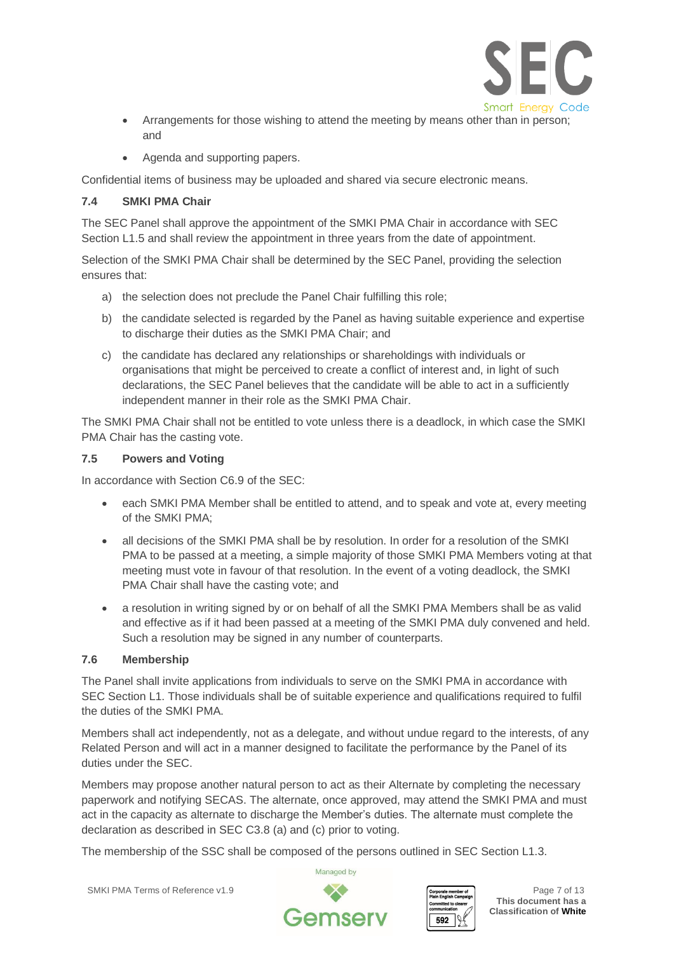

- Arrangements for those wishing to attend the meeting by means other than in person; and
- Agenda and supporting papers.

Confidential items of business may be uploaded and shared via secure electronic means.

#### **7.4 SMKI PMA Chair**

The SEC Panel shall approve the appointment of the SMKI PMA Chair in accordance with SEC Section L1.5 and shall review the appointment in three years from the date of appointment.

Selection of the SMKI PMA Chair shall be determined by the SEC Panel, providing the selection ensures that:

- a) the selection does not preclude the Panel Chair fulfilling this role;
- b) the candidate selected is regarded by the Panel as having suitable experience and expertise to discharge their duties as the SMKI PMA Chair; and
- c) the candidate has declared any relationships or shareholdings with individuals or organisations that might be perceived to create a conflict of interest and, in light of such declarations, the SEC Panel believes that the candidate will be able to act in a sufficiently independent manner in their role as the SMKI PMA Chair.

The SMKI PMA Chair shall not be entitled to vote unless there is a deadlock, in which case the SMKI PMA Chair has the casting vote.

#### **7.5 Powers and Voting**

In accordance with Section C6.9 of the SEC:

- each SMKI PMA Member shall be entitled to attend, and to speak and vote at, every meeting of the SMKI PMA;
- all decisions of the SMKI PMA shall be by resolution. In order for a resolution of the SMKI PMA to be passed at a meeting, a simple majority of those SMKI PMA Members voting at that meeting must vote in favour of that resolution. In the event of a voting deadlock, the SMKI PMA Chair shall have the casting vote; and
- a resolution in writing signed by or on behalf of all the SMKI PMA Members shall be as valid and effective as if it had been passed at a meeting of the SMKI PMA duly convened and held. Such a resolution may be signed in any number of counterparts.

#### **7.6 Membership**

The Panel shall invite applications from individuals to serve on the SMKI PMA in accordance with SEC Section L1. Those individuals shall be of suitable experience and qualifications required to fulfil the duties of the SMKI PMA.

Members shall act independently, not as a delegate, and without undue regard to the interests, of any Related Person and will act in a manner designed to facilitate the performance by the Panel of its duties under the SEC.

Members may propose another natural person to act as their Alternate by completing the necessary paperwork and notifying SECAS. The alternate, once approved, may attend the SMKI PMA and must act in the capacity as alternate to discharge the Member's duties. The alternate must complete the declaration as described in SEC C3.8 (a) and (c) prior to voting.

The membership of the SSC shall be composed of the persons outlined in SEC Section L1.3.

SMKI PMA Terms of Reference v1.9 **Page 7** of 13



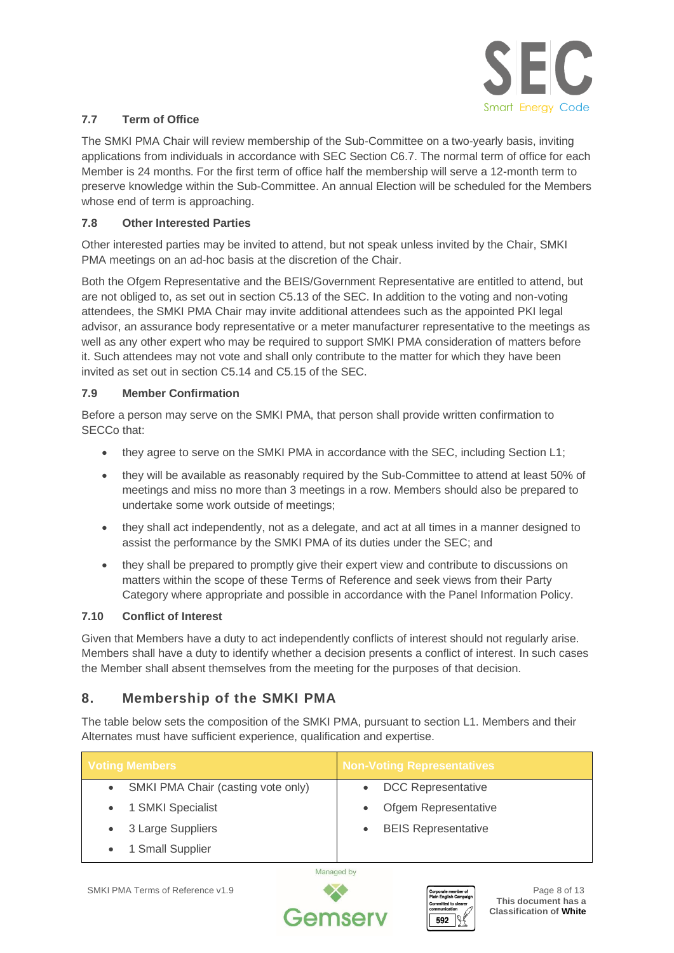

#### **7.7 Term of Office**

The SMKI PMA Chair will review membership of the Sub-Committee on a two-yearly basis, inviting applications from individuals in accordance with SEC Section C6.7. The normal term of office for each Member is 24 months. For the first term of office half the membership will serve a 12-month term to preserve knowledge within the Sub-Committee. An annual Election will be scheduled for the Members whose end of term is approaching.

#### **7.8 Other Interested Parties**

Other interested parties may be invited to attend, but not speak unless invited by the Chair, SMKI PMA meetings on an ad-hoc basis at the discretion of the Chair.

Both the Ofgem Representative and the BEIS/Government Representative are entitled to attend, but are not obliged to, as set out in section C5.13 of the SEC. In addition to the voting and non-voting attendees, the SMKI PMA Chair may invite additional attendees such as the appointed PKI legal advisor, an assurance body representative or a meter manufacturer representative to the meetings as well as any other expert who may be required to support SMKI PMA consideration of matters before it. Such attendees may not vote and shall only contribute to the matter for which they have been invited as set out in section C5.14 and C5.15 of the SEC.

#### **7.9 Member Confirmation**

Before a person may serve on the SMKI PMA, that person shall provide written confirmation to SECCo that:

- they agree to serve on the SMKI PMA in accordance with the SEC, including Section L1;
- they will be available as reasonably required by the Sub-Committee to attend at least 50% of meetings and miss no more than 3 meetings in a row. Members should also be prepared to undertake some work outside of meetings;
- they shall act independently, not as a delegate, and act at all times in a manner designed to assist the performance by the SMKI PMA of its duties under the SEC; and
- they shall be prepared to promptly give their expert view and contribute to discussions on matters within the scope of these Terms of Reference and seek views from their Party Category where appropriate and possible in accordance with the Panel Information Policy.

#### **7.10 Conflict of Interest**

Given that Members have a duty to act independently conflicts of interest should not regularly arise. Members shall have a duty to identify whether a decision presents a conflict of interest. In such cases the Member shall absent themselves from the meeting for the purposes of that decision.

# **8. Membership of the SMKI PMA**

The table below sets the composition of the SMKI PMA, pursuant to section L1. Members and their Alternates must have sufficient experience, qualification and expertise.

| <b>Voting Members</b>              | <b>Non-Voting Representatives</b> |
|------------------------------------|-----------------------------------|
| SMKI PMA Chair (casting vote only) | <b>DCC Representative</b>         |
| 1 SMKI Specialist                  | Ofgem Representative              |
| 3 Large Suppliers                  | <b>BEIS Representative</b>        |
| 1 Small Supplier                   |                                   |

Managed by



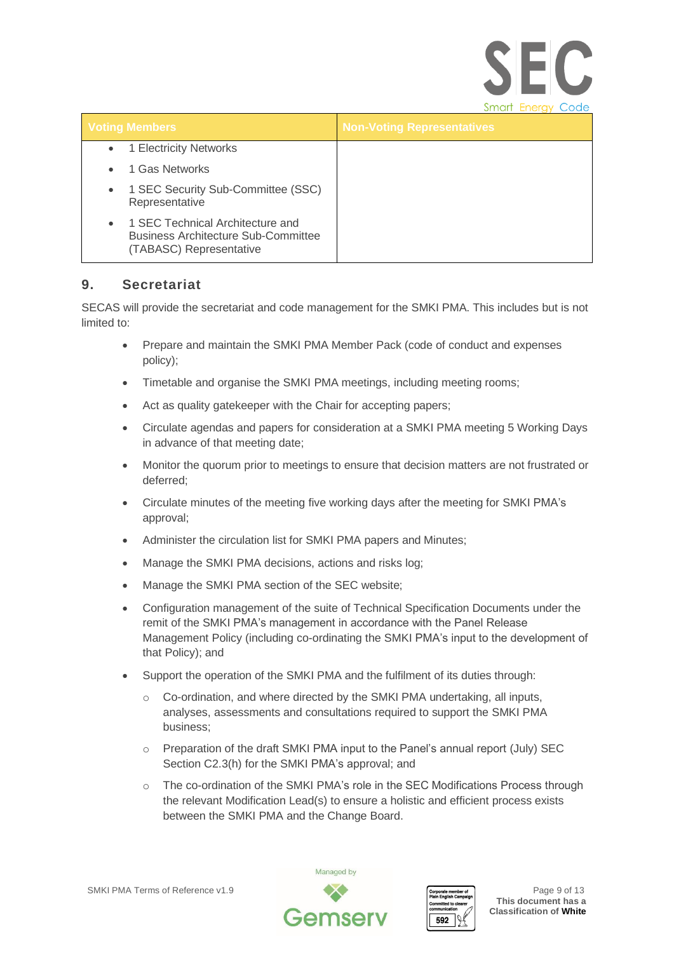|                                                                                                                        | <b>Smart Energy Code</b>          |
|------------------------------------------------------------------------------------------------------------------------|-----------------------------------|
| <b>Voting Members</b>                                                                                                  | <b>Non-Voting Representatives</b> |
| 1 Electricity Networks<br>$\bullet$                                                                                    |                                   |
| 1 Gas Networks                                                                                                         |                                   |
| 1 SEC Security Sub-Committee (SSC)<br>$\bullet$<br>Representative                                                      |                                   |
| 1 SEC Technical Architecture and<br>$\bullet$<br><b>Business Architecture Sub-Committee</b><br>(TABASC) Representative |                                   |

### **9. Secretariat**

SECAS will provide the secretariat and code management for the SMKI PMA. This includes but is not limited to:

- Prepare and maintain the SMKI PMA Member Pack (code of conduct and expenses policy);
- Timetable and organise the SMKI PMA meetings, including meeting rooms;
- Act as quality gatekeeper with the Chair for accepting papers;
- Circulate agendas and papers for consideration at a SMKI PMA meeting 5 Working Days in advance of that meeting date;
- Monitor the quorum prior to meetings to ensure that decision matters are not frustrated or deferred;
- Circulate minutes of the meeting five working days after the meeting for SMKI PMA's approval;
- Administer the circulation list for SMKI PMA papers and Minutes:
- Manage the SMKI PMA decisions, actions and risks log;
- Manage the SMKI PMA section of the SEC website;
- Configuration management of the suite of Technical Specification Documents under the remit of the SMKI PMA's management in accordance with the Panel Release Management Policy (including co-ordinating the SMKI PMA's input to the development of that Policy); and
- Support the operation of the SMKI PMA and the fulfilment of its duties through:
	- o Co-ordination, and where directed by the SMKI PMA undertaking, all inputs, analyses, assessments and consultations required to support the SMKI PMA business;
	- o Preparation of the draft SMKI PMA input to the Panel's annual report (July) SEC Section C2.3(h) for the SMKI PMA's approval; and
	- o The co-ordination of the SMKI PMA's role in the SEC Modifications Process through the relevant Modification Lead(s) to ensure a holistic and efficient process exists between the SMKI PMA and the Change Board.





**SEC**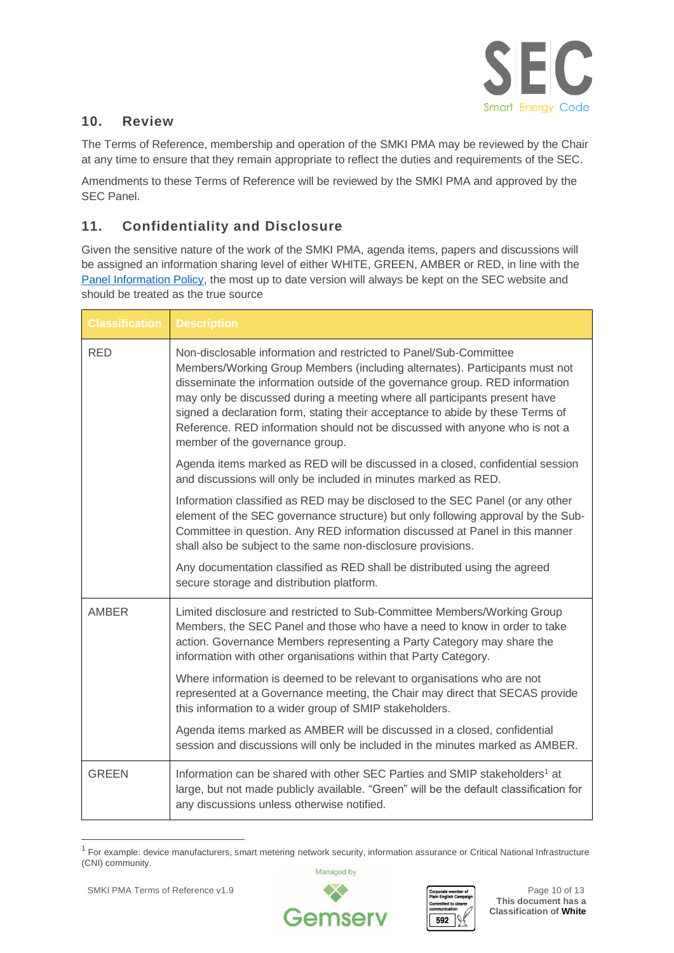

### **10. Review**

The Terms of Reference, membership and operation of the SMKI PMA may be reviewed by the Chair at any time to ensure that they remain appropriate to reflect the duties and requirements of the SEC.

Amendments to these Terms of Reference will be reviewed by the SMKI PMA and approved by the SEC Panel.

# **11. Confidentiality and Disclosure**

Given the sensitive nature of the work of the SMKI PMA, agenda items, papers and discussions will be assigned an information sharing level of either WHITE, GREEN, AMBER or RED, in line with the [Panel Information Policy,](https://smartenergycodecompany.co.uk/sec-panel-information-policy/) the most up to date version will always be kept on the SEC website and should be treated as the true source

| <b>Classification</b> | <b>Description</b>                                                                                                                                                                                                                                                                                                                                                                                                                                                                                                 |
|-----------------------|--------------------------------------------------------------------------------------------------------------------------------------------------------------------------------------------------------------------------------------------------------------------------------------------------------------------------------------------------------------------------------------------------------------------------------------------------------------------------------------------------------------------|
| <b>RED</b>            | Non-disclosable information and restricted to Panel/Sub-Committee<br>Members/Working Group Members (including alternates). Participants must not<br>disseminate the information outside of the governance group. RED information<br>may only be discussed during a meeting where all participants present have<br>signed a declaration form, stating their acceptance to abide by these Terms of<br>Reference. RED information should not be discussed with anyone who is not a<br>member of the governance group. |
|                       | Agenda items marked as RED will be discussed in a closed, confidential session<br>and discussions will only be included in minutes marked as RED.                                                                                                                                                                                                                                                                                                                                                                  |
|                       | Information classified as RED may be disclosed to the SEC Panel (or any other<br>element of the SEC governance structure) but only following approval by the Sub-<br>Committee in question. Any RED information discussed at Panel in this manner<br>shall also be subject to the same non-disclosure provisions.                                                                                                                                                                                                  |
|                       | Any documentation classified as RED shall be distributed using the agreed<br>secure storage and distribution platform.                                                                                                                                                                                                                                                                                                                                                                                             |
| <b>AMBER</b>          | Limited disclosure and restricted to Sub-Committee Members/Working Group<br>Members, the SEC Panel and those who have a need to know in order to take<br>action. Governance Members representing a Party Category may share the<br>information with other organisations within that Party Category.                                                                                                                                                                                                                |
|                       | Where information is deemed to be relevant to organisations who are not<br>represented at a Governance meeting, the Chair may direct that SECAS provide<br>this information to a wider group of SMIP stakeholders.                                                                                                                                                                                                                                                                                                 |
|                       | Agenda items marked as AMBER will be discussed in a closed, confidential<br>session and discussions will only be included in the minutes marked as AMBER.                                                                                                                                                                                                                                                                                                                                                          |
| <b>GREEN</b>          | Information can be shared with other SEC Parties and SMIP stakeholders <sup>1</sup> at<br>large, but not made publicly available. "Green" will be the default classification for<br>any discussions unless otherwise notified.                                                                                                                                                                                                                                                                                     |

<sup>1</sup> For example: device manufacturers, smart metering network security, information assurance or Critical National Infrastructure (CNI) community.



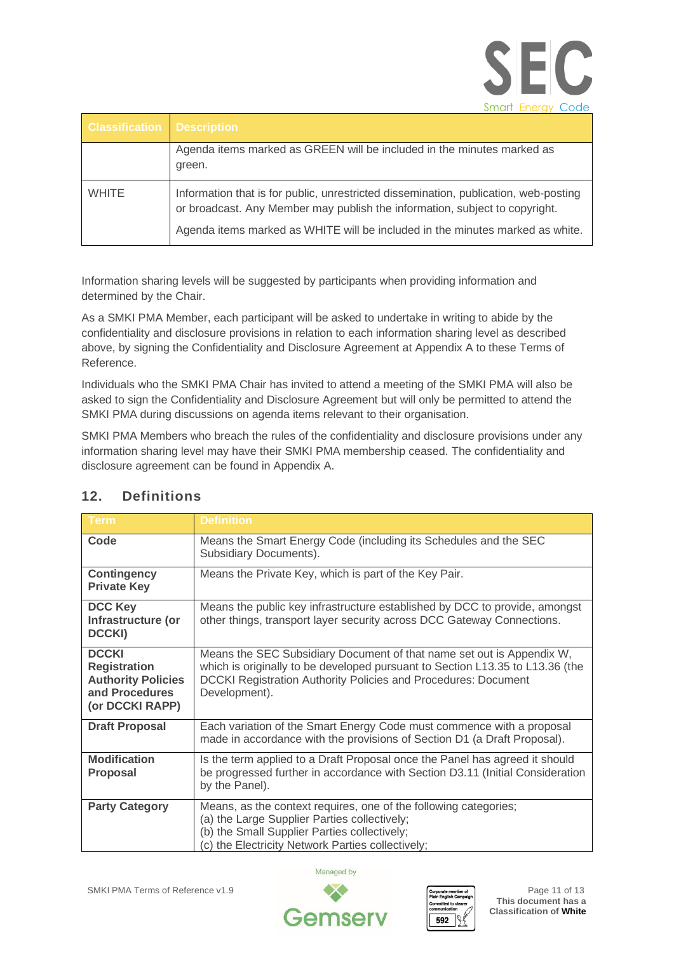|  | Smart Energy Code |
|--|-------------------|

| <b>Classification Description</b> |                                                                                                                                                                     |
|-----------------------------------|---------------------------------------------------------------------------------------------------------------------------------------------------------------------|
|                                   | Agenda items marked as GREEN will be included in the minutes marked as<br>green.                                                                                    |
| <b>WHITE</b>                      | Information that is for public, unrestricted dissemination, publication, web-posting<br>or broadcast. Any Member may publish the information, subject to copyright. |
|                                   | Agenda items marked as WHITE will be included in the minutes marked as white.                                                                                       |

Information sharing levels will be suggested by participants when providing information and determined by the Chair.

As a SMKI PMA Member, each participant will be asked to undertake in writing to abide by the confidentiality and disclosure provisions in relation to each information sharing level as described above, by signing the Confidentiality and Disclosure Agreement at Appendix A to these Terms of Reference.

Individuals who the SMKI PMA Chair has invited to attend a meeting of the SMKI PMA will also be asked to sign the Confidentiality and Disclosure Agreement but will only be permitted to attend the SMKI PMA during discussions on agenda items relevant to their organisation.

SMKI PMA Members who breach the rules of the confidentiality and disclosure provisions under any information sharing level may have their SMKI PMA membership ceased. The confidentiality and disclosure agreement can be found in Appendix A.

| <b>Term</b>                                                                                           | <b>Definition</b>                                                                                                                                                                                                                         |
|-------------------------------------------------------------------------------------------------------|-------------------------------------------------------------------------------------------------------------------------------------------------------------------------------------------------------------------------------------------|
| Code                                                                                                  | Means the Smart Energy Code (including its Schedules and the SEC<br>Subsidiary Documents).                                                                                                                                                |
| <b>Contingency</b><br><b>Private Key</b>                                                              | Means the Private Key, which is part of the Key Pair.                                                                                                                                                                                     |
| <b>DCC Key</b><br>Infrastructure (or<br><b>DCCKI)</b>                                                 | Means the public key infrastructure established by DCC to provide, amongst<br>other things, transport layer security across DCC Gateway Connections.                                                                                      |
| <b>DCCKI</b><br><b>Registration</b><br><b>Authority Policies</b><br>and Procedures<br>(or DCCKI RAPP) | Means the SEC Subsidiary Document of that name set out is Appendix W,<br>which is originally to be developed pursuant to Section L13.35 to L13.36 (the<br>DCCKI Registration Authority Policies and Procedures: Document<br>Development). |
| <b>Draft Proposal</b>                                                                                 | Each variation of the Smart Energy Code must commence with a proposal<br>made in accordance with the provisions of Section D1 (a Draft Proposal).                                                                                         |
| <b>Modification</b><br><b>Proposal</b>                                                                | Is the term applied to a Draft Proposal once the Panel has agreed it should<br>be progressed further in accordance with Section D3.11 (Initial Consideration<br>by the Panel).                                                            |
| <b>Party Category</b>                                                                                 | Means, as the context requires, one of the following categories;<br>(a) the Large Supplier Parties collectively;<br>(b) the Small Supplier Parties collectively;<br>(c) the Electricity Network Parties collectively;                     |

# **12. Definitions**



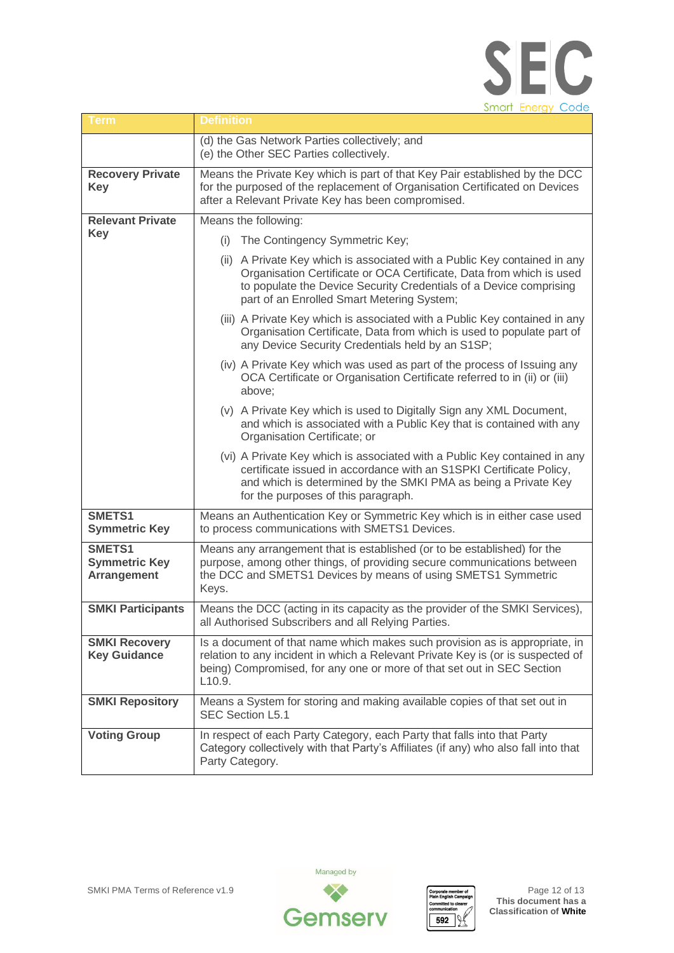

| Term                                                 | <b>Definition</b>                                                                                                                                                                                                                                                     |
|------------------------------------------------------|-----------------------------------------------------------------------------------------------------------------------------------------------------------------------------------------------------------------------------------------------------------------------|
|                                                      | (d) the Gas Network Parties collectively; and<br>(e) the Other SEC Parties collectively.                                                                                                                                                                              |
| <b>Recovery Private</b><br><b>Key</b>                | Means the Private Key which is part of that Key Pair established by the DCC<br>for the purposed of the replacement of Organisation Certificated on Devices<br>after a Relevant Private Key has been compromised.                                                      |
| <b>Relevant Private</b>                              | Means the following:                                                                                                                                                                                                                                                  |
| <b>Key</b>                                           | The Contingency Symmetric Key;<br>(i)                                                                                                                                                                                                                                 |
|                                                      | (ii) A Private Key which is associated with a Public Key contained in any<br>Organisation Certificate or OCA Certificate, Data from which is used<br>to populate the Device Security Credentials of a Device comprising<br>part of an Enrolled Smart Metering System; |
|                                                      | (iii) A Private Key which is associated with a Public Key contained in any<br>Organisation Certificate, Data from which is used to populate part of<br>any Device Security Credentials held by an S1SP;                                                               |
|                                                      | (iv) A Private Key which was used as part of the process of Issuing any<br>OCA Certificate or Organisation Certificate referred to in (ii) or (iii)<br>above;                                                                                                         |
|                                                      | (v) A Private Key which is used to Digitally Sign any XML Document,<br>and which is associated with a Public Key that is contained with any<br>Organisation Certificate; or                                                                                           |
|                                                      | (vi) A Private Key which is associated with a Public Key contained in any<br>certificate issued in accordance with an S1SPKI Certificate Policy,<br>and which is determined by the SMKI PMA as being a Private Key<br>for the purposes of this paragraph.             |
| SMETS1<br><b>Symmetric Key</b>                       | Means an Authentication Key or Symmetric Key which is in either case used<br>to process communications with SMETS1 Devices.                                                                                                                                           |
| SMETS1<br><b>Symmetric Key</b><br><b>Arrangement</b> | Means any arrangement that is established (or to be established) for the<br>purpose, among other things, of providing secure communications between<br>the DCC and SMETS1 Devices by means of using SMETS1 Symmetric<br>Keys.                                         |
| <b>SMKI Participants</b>                             | Means the DCC (acting in its capacity as the provider of the SMKI Services),<br>all Authorised Subscribers and all Relying Parties.                                                                                                                                   |
| <b>SMKI Recovery</b><br><b>Key Guidance</b>          | Is a document of that name which makes such provision as is appropriate, in<br>relation to any incident in which a Relevant Private Key is (or is suspected of<br>being) Compromised, for any one or more of that set out in SEC Section<br>L10.9.                    |
| <b>SMKI Repository</b>                               | Means a System for storing and making available copies of that set out in<br>SEC Section L5.1                                                                                                                                                                         |
| <b>Voting Group</b>                                  | In respect of each Party Category, each Party that falls into that Party<br>Category collectively with that Party's Affiliates (if any) who also fall into that<br>Party Category.                                                                                    |